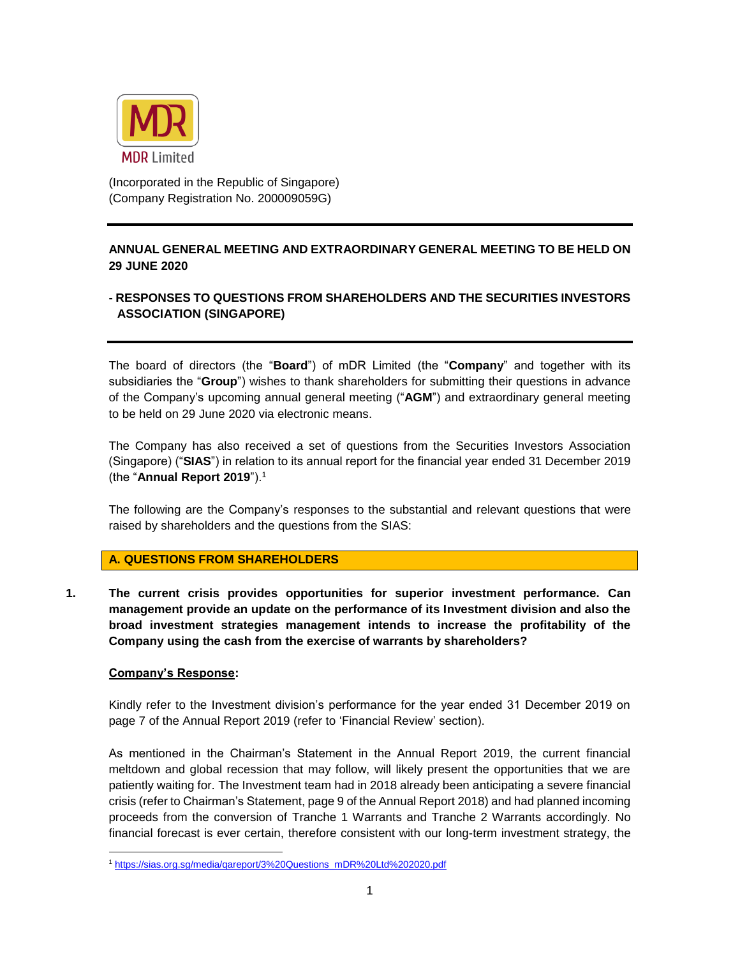

(Incorporated in the Republic of Singapore) (Company Registration No. 200009059G)

# **ANNUAL GENERAL MEETING AND EXTRAORDINARY GENERAL MEETING TO BE HELD ON 29 JUNE 2020**

# **- RESPONSES TO QUESTIONS FROM SHAREHOLDERS AND THE SECURITIES INVESTORS ASSOCIATION (SINGAPORE)**

The board of directors (the "**Board**") of mDR Limited (the "**Company**" and together with its subsidiaries the "**Group**") wishes to thank shareholders for submitting their questions in advance of the Company's upcoming annual general meeting ("**AGM**") and extraordinary general meeting to be held on 29 June 2020 via electronic means.

The Company has also received a set of questions from the Securities Investors Association (Singapore) ("**SIAS**") in relation to its annual report for the financial year ended 31 December 2019 (the "**Annual Report 2019**"). 1

The following are the Company's responses to the substantial and relevant questions that were raised by shareholders and the questions from the SIAS:

# **A. QUESTIONS FROM SHAREHOLDERS**

**1. The current crisis provides opportunities for superior investment performance. Can management provide an update on the performance of its Investment division and also the broad investment strategies management intends to increase the profitability of the Company using the cash from the exercise of warrants by shareholders?**

#### **Company's Response:**

Kindly refer to the Investment division's performance for the year ended 31 December 2019 on page 7 of the Annual Report 2019 (refer to 'Financial Review' section).

As mentioned in the Chairman's Statement in the Annual Report 2019, the current financial meltdown and global recession that may follow, will likely present the opportunities that we are patiently waiting for. The Investment team had in 2018 already been anticipating a severe financial crisis (refer to Chairman's Statement, page 9 of the Annual Report 2018) and had planned incoming proceeds from the conversion of Tranche 1 Warrants and Tranche 2 Warrants accordingly. No financial forecast is ever certain, therefore consistent with our long-term investment strategy, the

<sup>1</sup> https://sias.org.sg/media/qareport/3%20Questions\_mDR%20Ltd%202020.pdf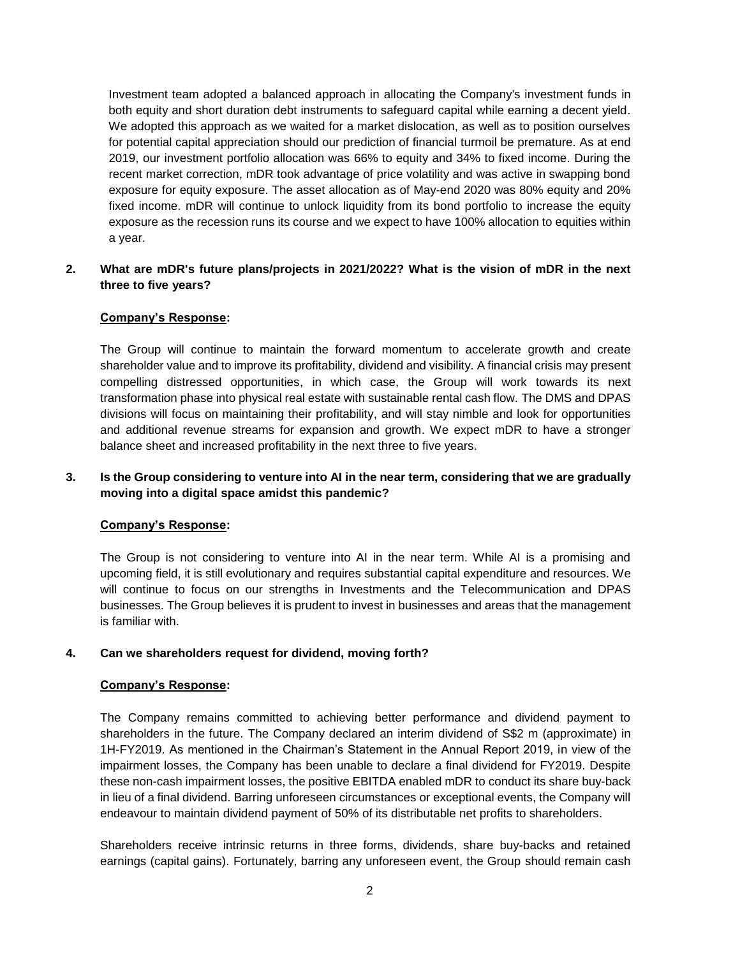Investment team adopted a balanced approach in allocating the Company's investment funds in both equity and short duration debt instruments to safeguard capital while earning a decent yield. We adopted this approach as we waited for a market dislocation, as well as to position ourselves for potential capital appreciation should our prediction of financial turmoil be premature. As at end 2019, our investment portfolio allocation was 66% to equity and 34% to fixed income. During the recent market correction, mDR took advantage of price volatility and was active in swapping bond exposure for equity exposure. The asset allocation as of May-end 2020 was 80% equity and 20% fixed income. mDR will continue to unlock liquidity from its bond portfolio to increase the equity exposure as the recession runs its course and we expect to have 100% allocation to equities within a year.

# **2. What are mDR's future plans/projects in 2021/2022? What is the vision of mDR in the next three to five years?**

# **Company's Response:**

The Group will continue to maintain the forward momentum to accelerate growth and create shareholder value and to improve its profitability, dividend and visibility. A financial crisis may present compelling distressed opportunities, in which case, the Group will work towards its next transformation phase into physical real estate with sustainable rental cash flow. The DMS and DPAS divisions will focus on maintaining their profitability, and will stay nimble and look for opportunities and additional revenue streams for expansion and growth. We expect mDR to have a stronger balance sheet and increased profitability in the next three to five years.

# **3. Is the Group considering to venture into AI in the near term, considering that we are gradually moving into a digital space amidst this pandemic?**

# **Company's Response:**

The Group is not considering to venture into AI in the near term. While AI is a promising and upcoming field, it is still evolutionary and requires substantial capital expenditure and resources. We will continue to focus on our strengths in Investments and the Telecommunication and DPAS businesses. The Group believes it is prudent to invest in businesses and areas that the management is familiar with.

# **4. Can we shareholders request for dividend, moving forth?**

# **Company's Response:**

The Company remains committed to achieving better performance and dividend payment to shareholders in the future. The Company declared an interim dividend of S\$2 m (approximate) in 1H-FY2019. As mentioned in the Chairman's Statement in the Annual Report 2019, in view of the impairment losses, the Company has been unable to declare a final dividend for FY2019. Despite these non-cash impairment losses, the positive EBITDA enabled mDR to conduct its share buy-back in lieu of a final dividend. Barring unforeseen circumstances or exceptional events, the Company will endeavour to maintain dividend payment of 50% of its distributable net profits to shareholders.

Shareholders receive intrinsic returns in three forms, dividends, share buy-backs and retained earnings (capital gains). Fortunately, barring any unforeseen event, the Group should remain cash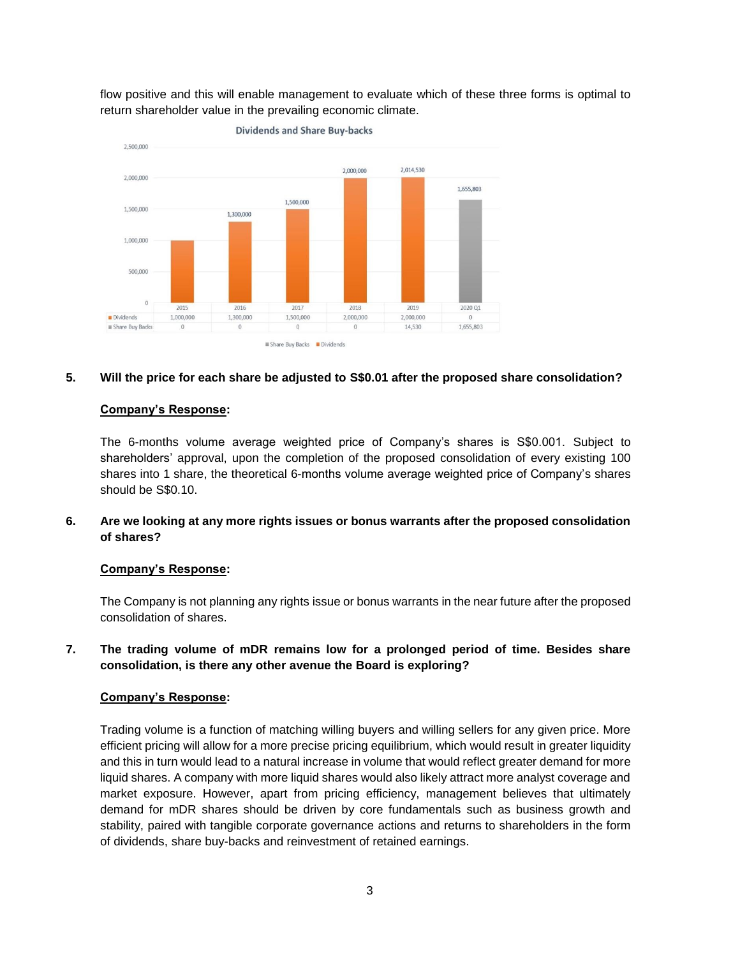flow positive and this will enable management to evaluate which of these three forms is optimal to return shareholder value in the prevailing economic climate.



#### **5. Will the price for each share be adjusted to S\$0.01 after the proposed share consolidation?**

#### **Company's Response:**

The 6-months volume average weighted price of Company's shares is S\$0.001. Subject to shareholders' approval, upon the completion of the proposed consolidation of every existing 100 shares into 1 share, the theoretical 6-months volume average weighted price of Company's shares should be S\$0.10.

**6. Are we looking at any more rights issues or bonus warrants after the proposed consolidation of shares?**

#### **Company's Response:**

The Company is not planning any rights issue or bonus warrants in the near future after the proposed consolidation of shares.

**7. The trading volume of mDR remains low for a prolonged period of time. Besides share consolidation, is there any other avenue the Board is exploring?**

# **Company's Response:**

Trading volume is a function of matching willing buyers and willing sellers for any given price. More efficient pricing will allow for a more precise pricing equilibrium, which would result in greater liquidity and this in turn would lead to a natural increase in volume that would reflect greater demand for more liquid shares. A company with more liquid shares would also likely attract more analyst coverage and market exposure. However, apart from pricing efficiency, management believes that ultimately demand for mDR shares should be driven by core fundamentals such as business growth and stability, paired with tangible corporate governance actions and returns to shareholders in the form of dividends, share buy-backs and reinvestment of retained earnings.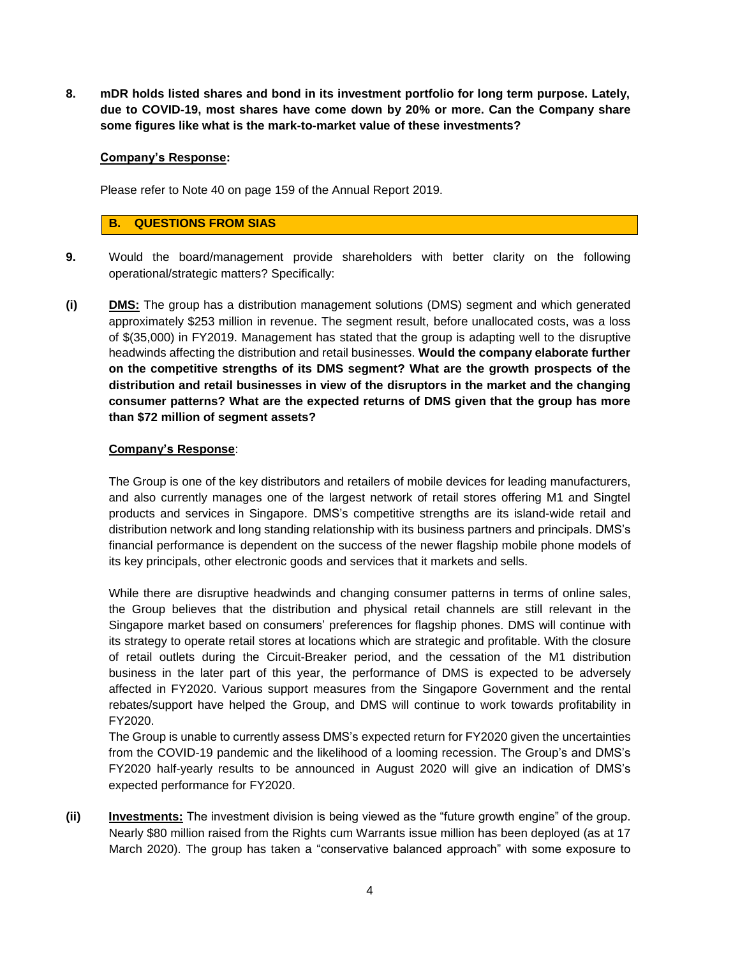**8. mDR holds listed shares and bond in its investment portfolio for long term purpose. Lately, due to COVID-19, most shares have come down by 20% or more. Can the Company share some figures like what is the mark-to-market value of these investments?**

#### **Company's Response:**

Please refer to Note 40 on page 159 of the Annual Report 2019.

### **B. QUESTIONS FROM SIAS**

- **9.** Would the board/management provide shareholders with better clarity on the following operational/strategic matters? Specifically:
- **(i) DMS:** The group has a distribution management solutions (DMS) segment and which generated approximately \$253 million in revenue. The segment result, before unallocated costs, was a loss of \$(35,000) in FY2019. Management has stated that the group is adapting well to the disruptive headwinds affecting the distribution and retail businesses. **Would the company elaborate further on the competitive strengths of its DMS segment? What are the growth prospects of the distribution and retail businesses in view of the disruptors in the market and the changing consumer patterns? What are the expected returns of DMS given that the group has more than \$72 million of segment assets?**

#### **Company's Response**:

The Group is one of the key distributors and retailers of mobile devices for leading manufacturers, and also currently manages one of the largest network of retail stores offering M1 and Singtel products and services in Singapore. DMS's competitive strengths are its island-wide retail and distribution network and long standing relationship with its business partners and principals. DMS's financial performance is dependent on the success of the newer flagship mobile phone models of its key principals, other electronic goods and services that it markets and sells.

While there are disruptive headwinds and changing consumer patterns in terms of online sales, the Group believes that the distribution and physical retail channels are still relevant in the Singapore market based on consumers' preferences for flagship phones. DMS will continue with its strategy to operate retail stores at locations which are strategic and profitable. With the closure of retail outlets during the Circuit-Breaker period, and the cessation of the M1 distribution business in the later part of this year, the performance of DMS is expected to be adversely affected in FY2020. Various support measures from the Singapore Government and the rental rebates/support have helped the Group, and DMS will continue to work towards profitability in FY2020.

The Group is unable to currently assess DMS's expected return for FY2020 given the uncertainties from the COVID-19 pandemic and the likelihood of a looming recession. The Group's and DMS's FY2020 half-yearly results to be announced in August 2020 will give an indication of DMS's expected performance for FY2020.

**(ii)** Investments: The investment division is being viewed as the "future growth engine" of the group. Nearly \$80 million raised from the Rights cum Warrants issue million has been deployed (as at 17 March 2020). The group has taken a "conservative balanced approach" with some exposure to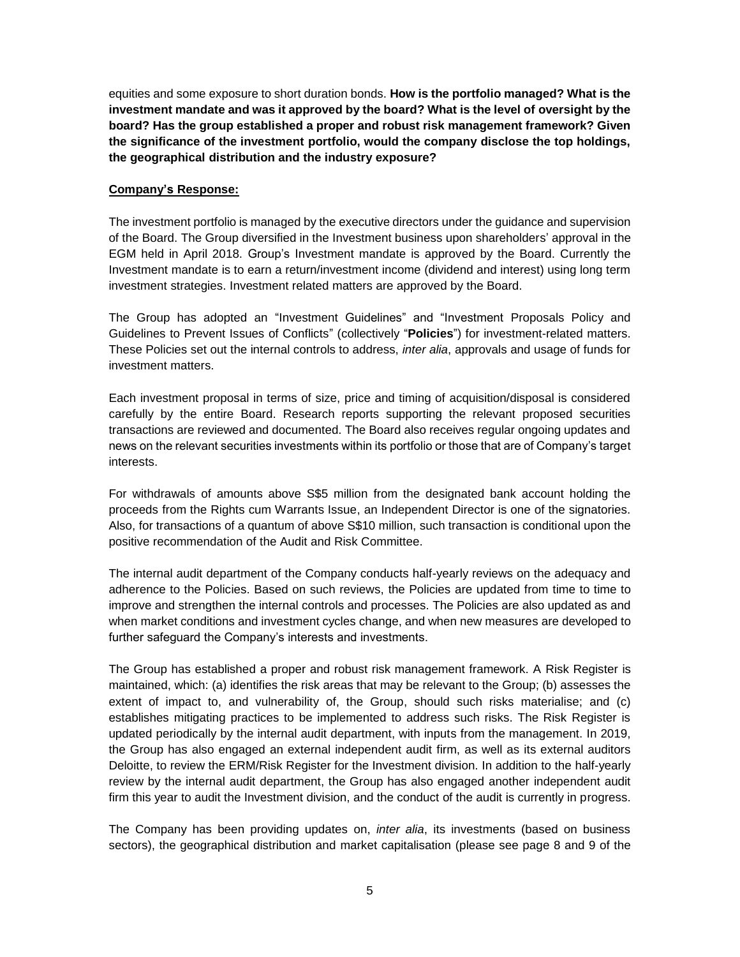equities and some exposure to short duration bonds. **How is the portfolio managed? What is the investment mandate and was it approved by the board? What is the level of oversight by the board? Has the group established a proper and robust risk management framework? Given the significance of the investment portfolio, would the company disclose the top holdings, the geographical distribution and the industry exposure?**

### **Company's Response:**

The investment portfolio is managed by the executive directors under the guidance and supervision of the Board. The Group diversified in the Investment business upon shareholders' approval in the EGM held in April 2018. Group's Investment mandate is approved by the Board. Currently the Investment mandate is to earn a return/investment income (dividend and interest) using long term investment strategies. Investment related matters are approved by the Board.

The Group has adopted an "Investment Guidelines" and "Investment Proposals Policy and Guidelines to Prevent Issues of Conflicts" (collectively "**Policies**") for investment-related matters. These Policies set out the internal controls to address, *inter alia*, approvals and usage of funds for investment matters.

Each investment proposal in terms of size, price and timing of acquisition/disposal is considered carefully by the entire Board. Research reports supporting the relevant proposed securities transactions are reviewed and documented. The Board also receives regular ongoing updates and news on the relevant securities investments within its portfolio or those that are of Company's target interests.

For withdrawals of amounts above S\$5 million from the designated bank account holding the proceeds from the Rights cum Warrants Issue, an Independent Director is one of the signatories. Also, for transactions of a quantum of above S\$10 million, such transaction is conditional upon the positive recommendation of the Audit and Risk Committee.

The internal audit department of the Company conducts half-yearly reviews on the adequacy and adherence to the Policies. Based on such reviews, the Policies are updated from time to time to improve and strengthen the internal controls and processes. The Policies are also updated as and when market conditions and investment cycles change, and when new measures are developed to further safeguard the Company's interests and investments.

The Group has established a proper and robust risk management framework. A Risk Register is maintained, which: (a) identifies the risk areas that may be relevant to the Group; (b) assesses the extent of impact to, and vulnerability of, the Group, should such risks materialise; and (c) establishes mitigating practices to be implemented to address such risks. The Risk Register is updated periodically by the internal audit department, with inputs from the management. In 2019, the Group has also engaged an external independent audit firm, as well as its external auditors Deloitte, to review the ERM/Risk Register for the Investment division. In addition to the half-yearly review by the internal audit department, the Group has also engaged another independent audit firm this year to audit the Investment division, and the conduct of the audit is currently in progress.

The Company has been providing updates on, *inter alia*, its investments (based on business sectors), the geographical distribution and market capitalisation (please see page 8 and 9 of the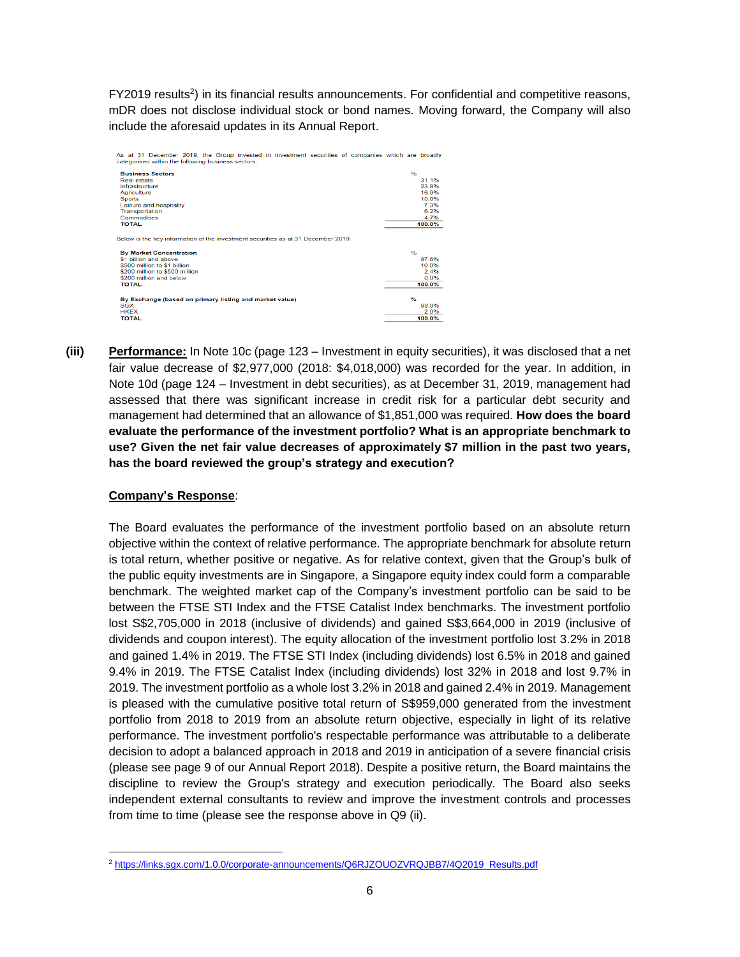FY2019 results<sup>2</sup>) in its financial results announcements. For confidential and competitive reasons, mDR does not disclose individual stock or bond names. Moving forward, the Company will also include the aforesaid updates in its Annual Report.

| As at 31 December 2019, the Group invested in investment securities of companies which are broadly<br>categorised within the following business sectors: |               |        |
|----------------------------------------------------------------------------------------------------------------------------------------------------------|---------------|--------|
| <b>Business Sectors</b>                                                                                                                                  | 0/6           |        |
| Real estate                                                                                                                                              |               | 31 1%  |
| Infrastructure                                                                                                                                           |               | 23.8%  |
| Agriculture                                                                                                                                              |               | 16.9%  |
| <b>Sports</b>                                                                                                                                            |               | 10.0%  |
| Leisure and hospitality                                                                                                                                  |               | 7.3%   |
| Transportation                                                                                                                                           |               | 6.2%   |
| Commodities                                                                                                                                              |               | 4.7%   |
| <b>TOTAL</b>                                                                                                                                             |               | 100.0% |
| Below is the key information of the investment securities as at 31 December 2019;<br><b>By Market Concentration</b>                                      | $\frac{O}{D}$ |        |
| \$1 billion and above                                                                                                                                    |               | 87.6%  |
| \$500 million to \$1 billion                                                                                                                             |               | 10.0%  |
| \$200 million to \$500 million                                                                                                                           |               | 2.4%   |
| \$200 million and below                                                                                                                                  |               | 0.0%   |
| <b>TOTAL</b>                                                                                                                                             |               | 100.0% |
|                                                                                                                                                          |               |        |
| By Exchange (based on primary listing and market value)                                                                                                  | $\frac{9}{6}$ |        |
| SGX                                                                                                                                                      |               | 98.0%  |
| <b>HKEX</b>                                                                                                                                              |               | 2.0%   |
| <b>TOTAL</b>                                                                                                                                             |               | 100.0% |
|                                                                                                                                                          |               |        |

**(iii) Performance:** In Note 10c (page 123 – Investment in equity securities), it was disclosed that a net fair value decrease of \$2,977,000 (2018: \$4,018,000) was recorded for the year. In addition, in Note 10d (page 124 – Investment in debt securities), as at December 31, 2019, management had assessed that there was significant increase in credit risk for a particular debt security and management had determined that an allowance of \$1,851,000 was required. **How does the board evaluate the performance of the investment portfolio? What is an appropriate benchmark to use? Given the net fair value decreases of approximately \$7 million in the past two years, has the board reviewed the group's strategy and execution?**

# **Company's Response**:

 $\overline{a}$ 

The Board evaluates the performance of the investment portfolio based on an absolute return objective within the context of relative performance. The appropriate benchmark for absolute return is total return, whether positive or negative. As for relative context, given that the Group's bulk of the public equity investments are in Singapore, a Singapore equity index could form a comparable benchmark. The weighted market cap of the Company's investment portfolio can be said to be between the FTSE STI Index and the FTSE Catalist Index benchmarks. The investment portfolio lost S\$2,705,000 in 2018 (inclusive of dividends) and gained S\$3,664,000 in 2019 (inclusive of dividends and coupon interest). The equity allocation of the investment portfolio lost 3.2% in 2018 and gained 1.4% in 2019. The FTSE STI Index (including dividends) lost 6.5% in 2018 and gained 9.4% in 2019. The FTSE Catalist Index (including dividends) lost 32% in 2018 and lost 9.7% in 2019. The investment portfolio as a whole lost 3.2% in 2018 and gained 2.4% in 2019. Management is pleased with the cumulative positive total return of S\$959,000 generated from the investment portfolio from 2018 to 2019 from an absolute return objective, especially in light of its relative performance. The investment portfolio's respectable performance was attributable to a deliberate decision to adopt a balanced approach in 2018 and 2019 in anticipation of a severe financial crisis (please see page 9 of our Annual Report 2018). Despite a positive return, the Board maintains the discipline to review the Group's strategy and execution periodically. The Board also seeks independent external consultants to review and improve the investment controls and processes from time to time (please see the response above in Q9 (ii).

<sup>2</sup> https://links.sgx.com/1.0.0/corporate-announcements/Q6RJZOUOZVRQJBB7/4Q2019\_Results.pdf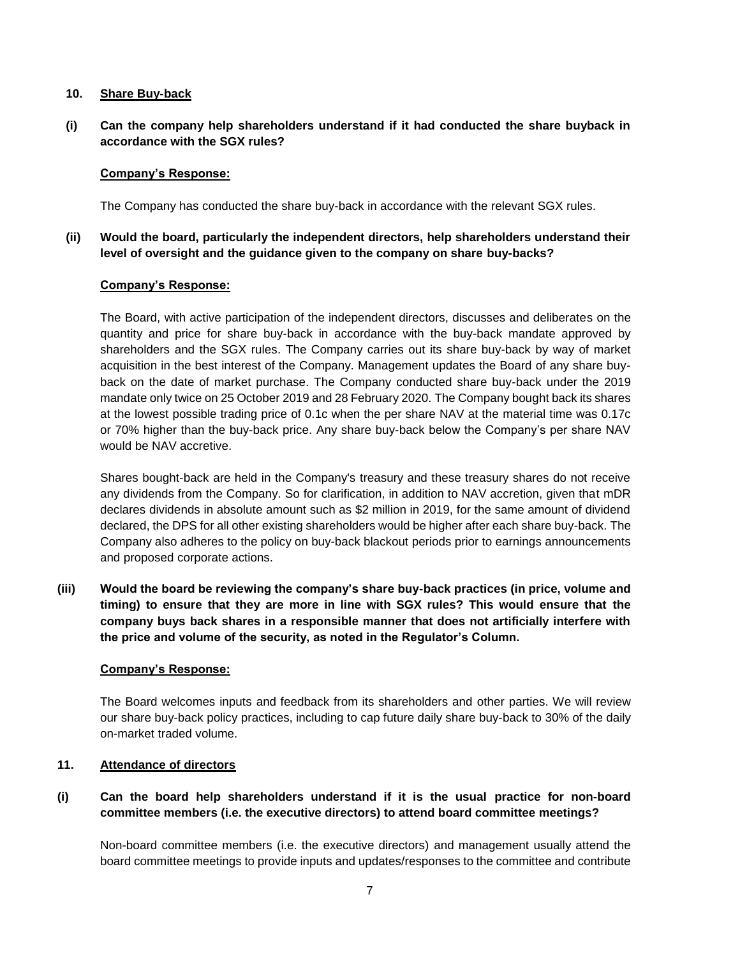#### **10. Share Buy-back**

**(i) Can the company help shareholders understand if it had conducted the share buyback in accordance with the SGX rules?** 

#### **Company's Response:**

The Company has conducted the share buy-back in accordance with the relevant SGX rules.

**(ii) Would the board, particularly the independent directors, help shareholders understand their level of oversight and the guidance given to the company on share buy-backs?** 

### **Company's Response:**

The Board, with active participation of the independent directors, discusses and deliberates on the quantity and price for share buy-back in accordance with the buy-back mandate approved by shareholders and the SGX rules. The Company carries out its share buy-back by way of market acquisition in the best interest of the Company. Management updates the Board of any share buyback on the date of market purchase. The Company conducted share buy-back under the 2019 mandate only twice on 25 October 2019 and 28 February 2020. The Company bought back its shares at the lowest possible trading price of 0.1c when the per share NAV at the material time was 0.17c or 70% higher than the buy-back price. Any share buy-back below the Company's per share NAV would be NAV accretive.

Shares bought-back are held in the Company's treasury and these treasury shares do not receive any dividends from the Company. So for clarification, in addition to NAV accretion, given that mDR declares dividends in absolute amount such as \$2 million in 2019, for the same amount of dividend declared, the DPS for all other existing shareholders would be higher after each share buy-back. The Company also adheres to the policy on buy-back blackout periods prior to earnings announcements and proposed corporate actions.

**(iii) Would the board be reviewing the company's share buy-back practices (in price, volume and timing) to ensure that they are more in line with SGX rules? This would ensure that the company buys back shares in a responsible manner that does not artificially interfere with the price and volume of the security, as noted in the Regulator's Column.**

#### **Company's Response:**

The Board welcomes inputs and feedback from its shareholders and other parties. We will review our share buy-back policy practices, including to cap future daily share buy-back to 30% of the daily on-market traded volume.

# **11. Attendance of directors**

# **(i) Can the board help shareholders understand if it is the usual practice for non-board committee members (i.e. the executive directors) to attend board committee meetings?**

Non-board committee members (i.e. the executive directors) and management usually attend the board committee meetings to provide inputs and updates/responses to the committee and contribute